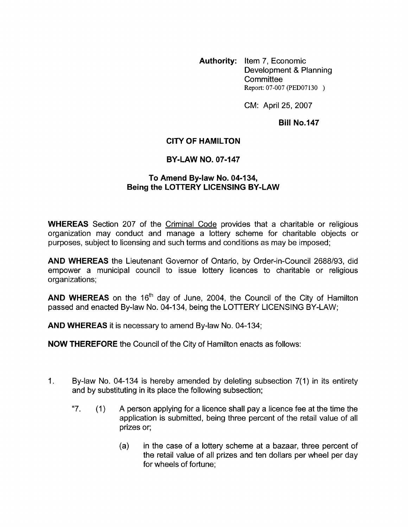**Authority:** Item 7, Economic Development & Planning **Committee** Report: 07-007 (PED07130 )

CM: April 25, 2007

## **Bill No.147**

## **CITY OF HAMILTON**

## **BY-LAW NO. 07-147**

## **To Amend Bylaw No. 04-134, Being the LOTTERY LICENSING BY-LAW**

**WHEREAS** Section 207 of the Criminal Code provides that a charitable or religious organization may conduct and manage a lottery scheme for charitable objects or purposes, subject to licensing and such terms and conditions as may be imposed;

**AND WHEREAS** the Lieutenant Governor of Ontario, by Order-in-Council 2688/93, did empower a municipal council to issue lottery licences to charitable or religious organizations;

**AND WHEREAS** on the 16<sup>th</sup> day of June, 2004, the Council of the City of Hamilton passed and enacted By-law No. 04-134, being the LOTTERY LICENSING BY-LAW;

**AND WHEREAS** it is necessary to amend By-law No. 04-134;

**NOW THEREFORE** the Council of the City of Hamilton enacts as follows:

- 1. By-law No. 04-134 is hereby amended by deleting subsection 7(1) in its entirety and by substituting in its place the following subsection;
	- "7.  $(1)$  A person applying for a licence shall pay a licence fee at the time the application is submitted, being three percent of the retail value of all prizes or;
		- (a) in the case of a lottery scheme at a bazaar, three percent of the retail value of all prizes and ten dollars per wheel per day for wheels of fortune;